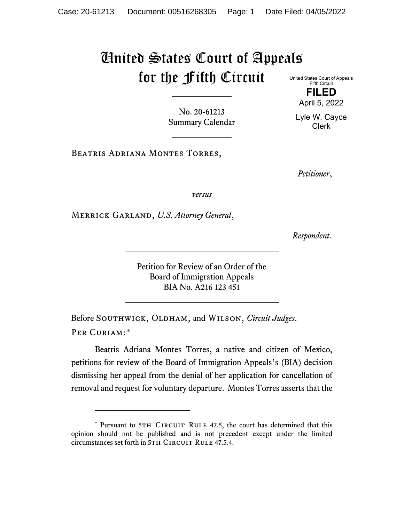## United States Court of Appeals for the Fifth Circuit

United States Court of Appeals Fifth Circuit **FILED**

April 5, 2022

Lyle W. Cayce Clerk

No. 20-61213 Summary Calendar

Beatris Adriana Montes Torres,

*Petitioner*,

*versus*

Merrick Garland, *U.S. Attorney General*,

*Respondent*.

Petition for Review of an Order of the Board of Immigration Appeals BIA No. A216 123 451

Before SOUTHWICK, OLDHAM, and WILSON, *Circuit Judges*. Per Curiam:[\\*](#page-0-0)

Beatris Adriana Montes Torres, a native and citizen of Mexico, petitions for review of the Board of Immigration Appeals's (BIA) decision dismissing her appeal from the denial of her application for cancellation of removal and request for voluntary departure. Montes Torres asserts that the

<span id="page-0-0"></span><sup>\*</sup> Pursuant to 5TH CIRCUIT RULE 47.5, the court has determined that this opinion should not be published and is not precedent except under the limited circumstances set forth in 5TH CIRCUIT RULE 47.5.4.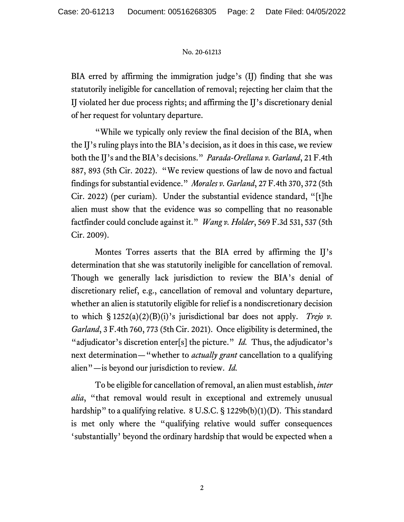## No. 20-61213

BIA erred by affirming the immigration judge's (IJ) finding that she was statutorily ineligible for cancellation of removal; rejecting her claim that the IJ violated her due process rights; and affirming the IJ's discretionary denial of her request for voluntary departure.

"While we typically only review the final decision of the BIA, when the IJ's ruling plays into the BIA's decision, as it does in this case, we review both the IJ's and the BIA's decisions." *Parada-Orellana v. Garland*, 21 F.4th 887, 893 (5th Cir. 2022). "We review questions of law de novo and factual findings for substantial evidence." *Morales v. Garland*, 27 F.4th 370, 372 (5th Cir. 2022) (per curiam). Under the substantial evidence standard, "[t]he alien must show that the evidence was so compelling that no reasonable factfinder could conclude against it." *Wang v. Holder*, 569 F.3d 531, 537 (5th Cir. 2009).

Montes Torres asserts that the BIA erred by affirming the IJ's determination that she was statutorily ineligible for cancellation of removal. Though we generally lack jurisdiction to review the BIA's denial of discretionary relief, e.g., cancellation of removal and voluntary departure, whether an alien is statutorily eligible for relief is a nondiscretionary decision to which  $\S 1252(a)(2)(B)(i)$ 's jurisdictional bar does not apply. *Trejo v. Garland*, 3 F.4th 760, 773 (5th Cir. 2021). Once eligibility is determined, the "adjudicator's discretion enter<sup>[s]</sup> the picture." *Id.* Thus, the adjudicator's next determination—"whether to *actually grant* cancellation to a qualifying alien"—is beyond our jurisdiction to review. *Id.*

To be eligible for cancellation of removal, an alien must establish, *inter alia*, "that removal would result in exceptional and extremely unusual hardship" to a qualifying relative. 8 U.S.C. § 1229b(b)(1)(D). This standard is met only where the "qualifying relative would suffer consequences 'substantially' beyond the ordinary hardship that would be expected when a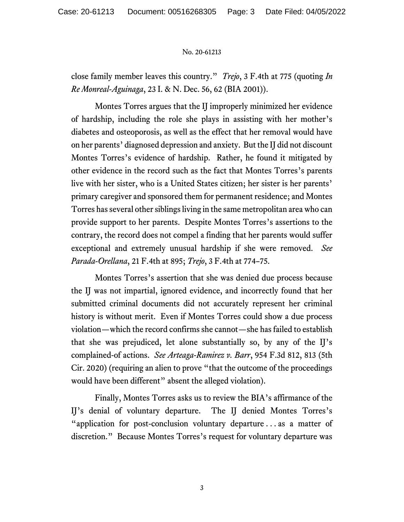## No. 20-61213

close family member leaves this country." *Trejo*, 3 F.4th at 775 (quoting *In Re Monreal-Aguinaga*, 23 I. & N. Dec. 56, 62 (BIA 2001)).

Montes Torres argues that the IJ improperly minimized her evidence of hardship, including the role she plays in assisting with her mother's diabetes and osteoporosis, as well as the effect that her removal would have on her parents' diagnosed depression and anxiety. But the IJ did not discount Montes Torres's evidence of hardship. Rather, he found it mitigated by other evidence in the record such as the fact that Montes Torres's parents live with her sister, who is a United States citizen; her sister is her parents' primary caregiver and sponsored them for permanent residence; and Montes Torres has several other siblings living in the same metropolitan area who can provide support to her parents. Despite Montes Torres's assertions to the contrary, the record does not compel a finding that her parents would suffer exceptional and extremely unusual hardship if she were removed. *See Parada-Orellana*, 21 F.4th at 895; *Trejo*, 3 F.4th at 774–75.

Montes Torres's assertion that she was denied due process because the IJ was not impartial, ignored evidence, and incorrectly found that her submitted criminal documents did not accurately represent her criminal history is without merit. Even if Montes Torres could show a due process violation—which the record confirms she cannot—she has failed to establish that she was prejudiced, let alone substantially so, by any of the IJ's complained-of actions. *See Arteaga-Ramirez v. Barr*, 954 F.3d 812, 813 (5th Cir. 2020) (requiring an alien to prove "that the outcome of the proceedings would have been different" absent the alleged violation).

Finally, Montes Torres asks us to review the BIA's affirmance of the IJ's denial of voluntary departure. The IJ denied Montes Torres's "application for post-conclusion voluntary departure . . . as a matter of discretion." Because Montes Torres's request for voluntary departure was